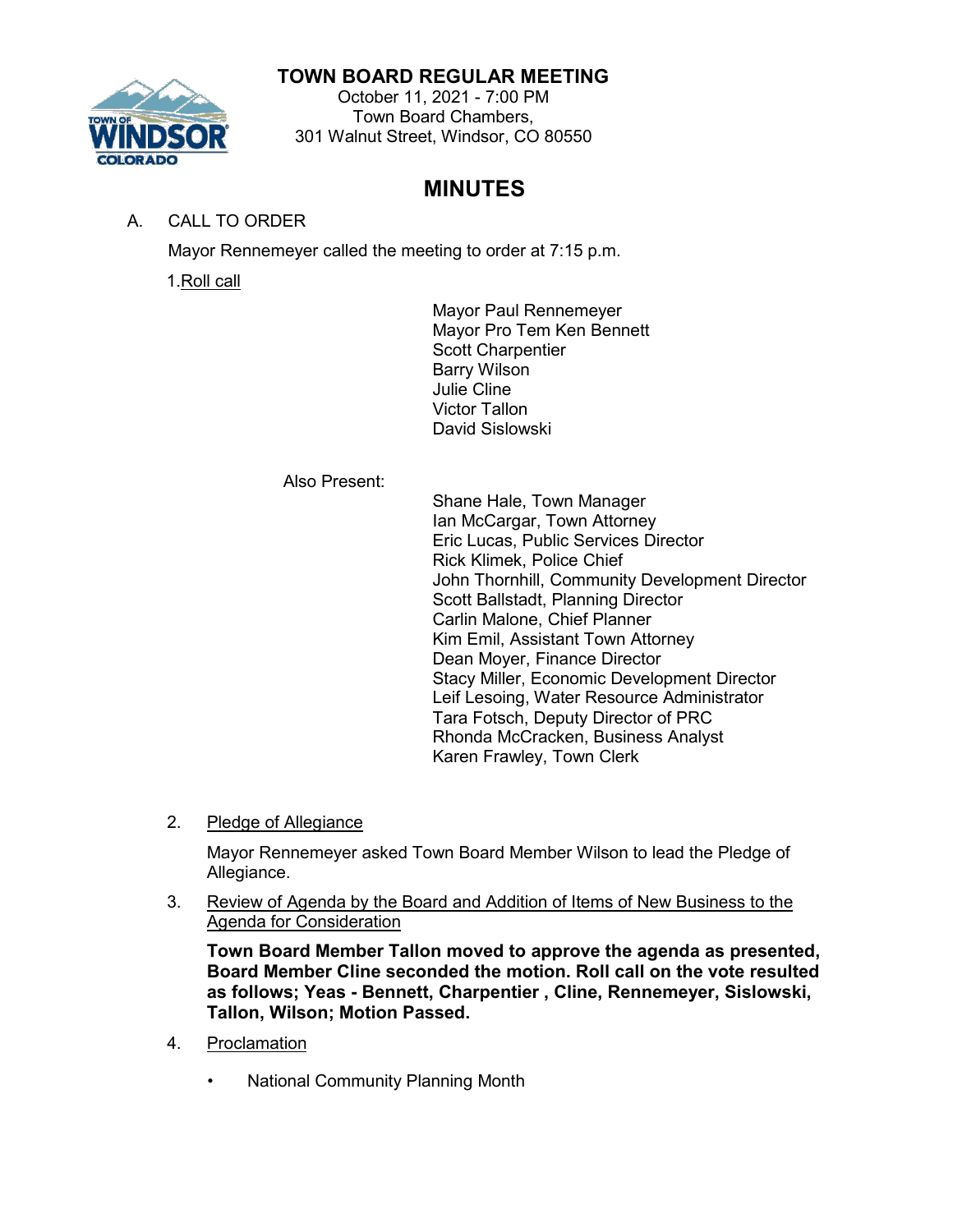# **TOWN BOARD REGULAR MEETING**



### October 11, 2021 - 7:00 PM Town Board Chambers, 301 Walnut Street, Windsor, CO 80550

# **MINUTES**

# A. CALL TO ORDER

Mayor Rennemeyer called the meeting to order at 7:15 p.m.

1.Roll call

Mayor Paul Rennemeyer Mayor Pro Tem Ken Bennett Scott Charpentier Barry Wilson Julie Cline Victor Tallon David Sislowski

Also Present:

Shane Hale, Town Manager Ian McCargar, Town Attorney Eric Lucas, Public Services Director Rick Klimek, Police Chief John Thornhill, Community Development Director Scott Ballstadt, Planning Director Carlin Malone, Chief Planner Kim Emil, Assistant Town Attorney Dean Moyer, Finance Director Stacy Miller, Economic Development Director Leif Lesoing, Water Resource Administrator Tara Fotsch, Deputy Director of PRC Rhonda McCracken, Business Analyst Karen Frawley, Town Clerk

2. Pledge of Allegiance

Mayor Rennemeyer asked Town Board Member Wilson to lead the Pledge of Allegiance.

3. Review of Agenda by the Board and Addition of Items of New Business to the Agenda for Consideration

**Town Board Member Tallon moved to approve the agenda as presented, Board Member Cline seconded the motion. Roll call on the vote resulted as follows; Yeas - Bennett, Charpentier , Cline, Rennemeyer, Sislowski, Tallon, Wilson; Motion Passed.**

- 4. Proclamation
	- National Community Planning Month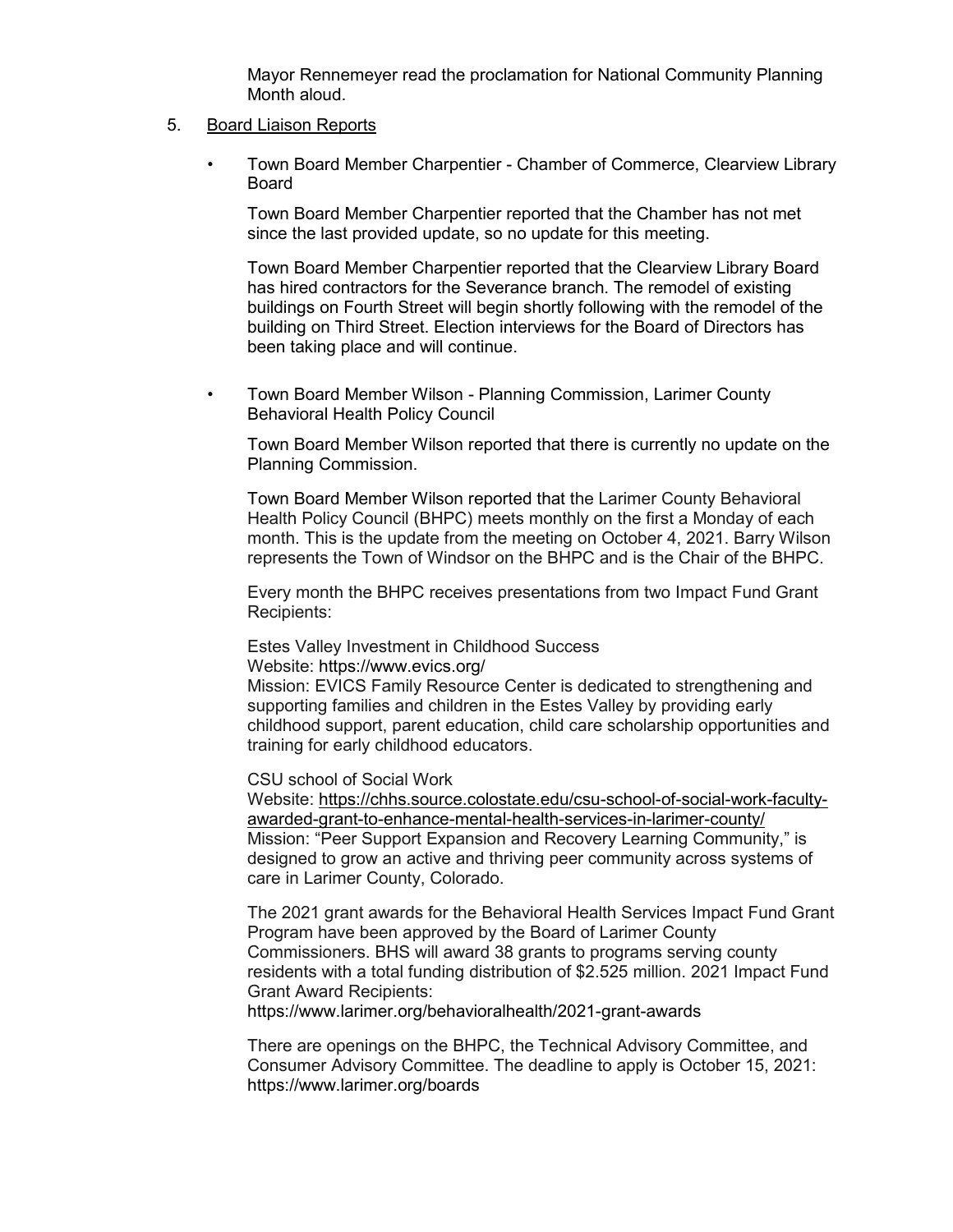Mayor Rennemeyer read the proclamation for National Community Planning Month aloud.

#### 5. Board Liaison Reports

• Town Board Member Charpentier - Chamber of Commerce, Clearview Library Board

Town Board Member Charpentier reported that the Chamber has not met since the last provided update, so no update for this meeting.

Town Board Member Charpentier reported that the Clearview Library Board has hired contractors for the Severance branch. The remodel of existing buildings on Fourth Street will begin shortly following with the remodel of the building on Third Street. Election interviews for the Board of Directors has been taking place and will continue.

• Town Board Member Wilson - Planning Commission, Larimer County Behavioral Health Policy Council

Town Board Member Wilson reported that there is currently no update on the Planning Commission.

Town Board Member Wilson reported that the Larimer County Behavioral Health Policy Council (BHPC) meets monthly on the first a Monday of each month. This is the update from the meeting on October 4, 2021. Barry Wilson represents the Town of Windsor on the BHPC and is the Chair of the BHPC.

Every month the BHPC receives presentations from two Impact Fund Grant Recipients:

Estes Valley Investment in Childhood Success Website:<https://www.evics.org/>

Mission: EVICS Family Resource Center is dedicated to strengthening and supporting families and children in the Estes Valley by providing early childhood support, parent education, child care scholarship opportunities and training for early childhood educators.

CSU school of Social Work

[Website: https://chhs.source.colostate.edu/csu-school-of-social-work-faculty](https://chhs.source.colostate.edu/csu-school-of-social-work-faculty-awarded-grant-to-enhance-mental-health-services-in-larimer-county/)[awarded-grant-to-enhance-mental-health-services-in-larimer-county/](https://chhs.source.colostate.edu/csu-school-of-social-work-faculty-awarded-grant-to-enhance-mental-health-services-in-larimer-county/) Mission: "Peer Support Expansion and Recovery Learning Community," is designed to grow an active and thriving peer community across systems of care in Larimer County, Colorado.

The 2021 grant awards for the Behavioral Health Services Impact Fund Grant Program have been approved by the Board of Larimer County Commissioners. BHS will award 38 grants to programs serving county residents with a total funding distribution of \$2.525 million. 2021 Impact Fund Grant Award Recipients:

<https://www.larimer.org/behavioralhealth/2021-grant-awards>

There are openings on the BHPC, the Technical Advisory Committee, and Consumer Advisory Committee. The deadline to apply is October 15, 2021: <https://www.larimer.org/boards>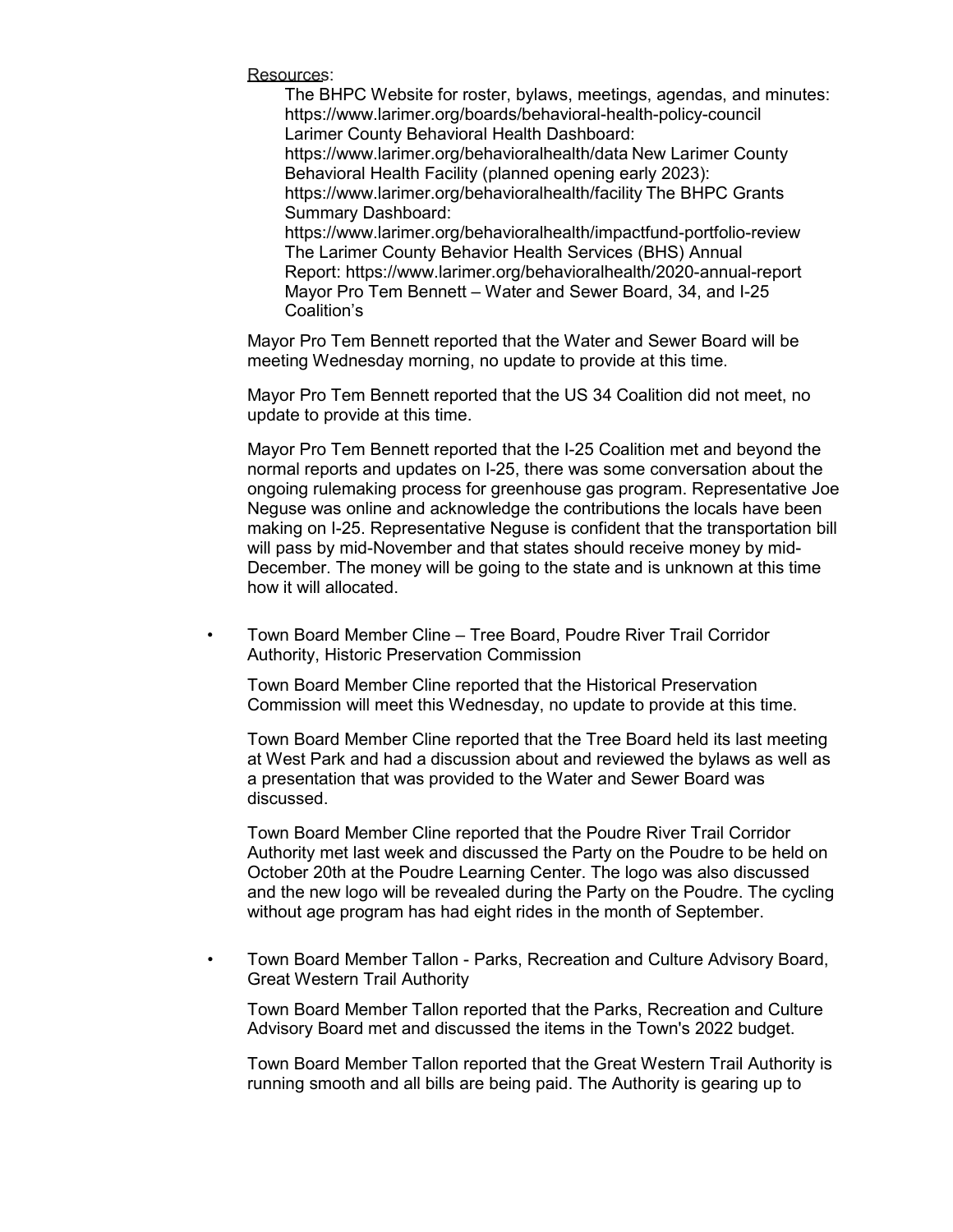Resources:

The BHPC Website for roster, bylaws, meetings, agendas, and minutes: <https://www.larimer.org/boards/behavioral-health-policy-council> Larimer County Behavioral Health Dashboard: <https://www.larimer.org/behavioralhealth/data> New Larimer County Behavioral Health Facility (planned opening early 2023): <https://www.larimer.org/behavioralhealth/facility> The BHPC Grants Summary Dashboard: <https://www.larimer.org/behavioralhealth/impactfund-portfolio-review> The Larimer County Behavior Health Services (BHS) Annual Report:<https://www.larimer.org/behavioralhealth/2020-annual-report> Mayor Pro Tem Bennett – Water and Sewer Board, 34, and I-25 Coalition's

Mayor Pro Tem Bennett reported that the Water and Sewer Board will be meeting Wednesday morning, no update to provide at this time.

Mayor Pro Tem Bennett reported that the US 34 Coalition did not meet, no update to provide at this time.

Mayor Pro Tem Bennett reported that the I-25 Coalition met and beyond the normal reports and updates on I-25, there was some conversation about the ongoing rulemaking process for greenhouse gas program. Representative Joe Neguse was online and acknowledge the contributions the locals have been making on I-25. Representative Neguse is confident that the transportation bill will pass by mid-November and that states should receive money by mid-December. The money will be going to the state and is unknown at this time how it will allocated.

• Town Board Member Cline – Tree Board, Poudre River Trail Corridor Authority, Historic Preservation Commission

Town Board Member Cline reported that the Historical Preservation Commission will meet this Wednesday, no update to provide at this time.

Town Board Member Cline reported that the Tree Board held its last meeting at West Park and had a discussion about and reviewed the bylaws as well as a presentation that was provided to the Water and Sewer Board was discussed.

Town Board Member Cline reported that the Poudre River Trail Corridor Authority met last week and discussed the Party on the Poudre to be held on October 20th at the Poudre Learning Center. The logo was also discussed and the new logo will be revealed during the Party on the Poudre. The cycling without age program has had eight rides in the month of September.

• Town Board Member Tallon - Parks, Recreation and Culture Advisory Board, Great Western Trail Authority

Town Board Member Tallon reported that the Parks, Recreation and Culture Advisory Board met and discussed the items in the Town's 2022 budget.

Town Board Member Tallon reported that the Great Western Trail Authority is running smooth and all bills are being paid. The Authority is gearing up to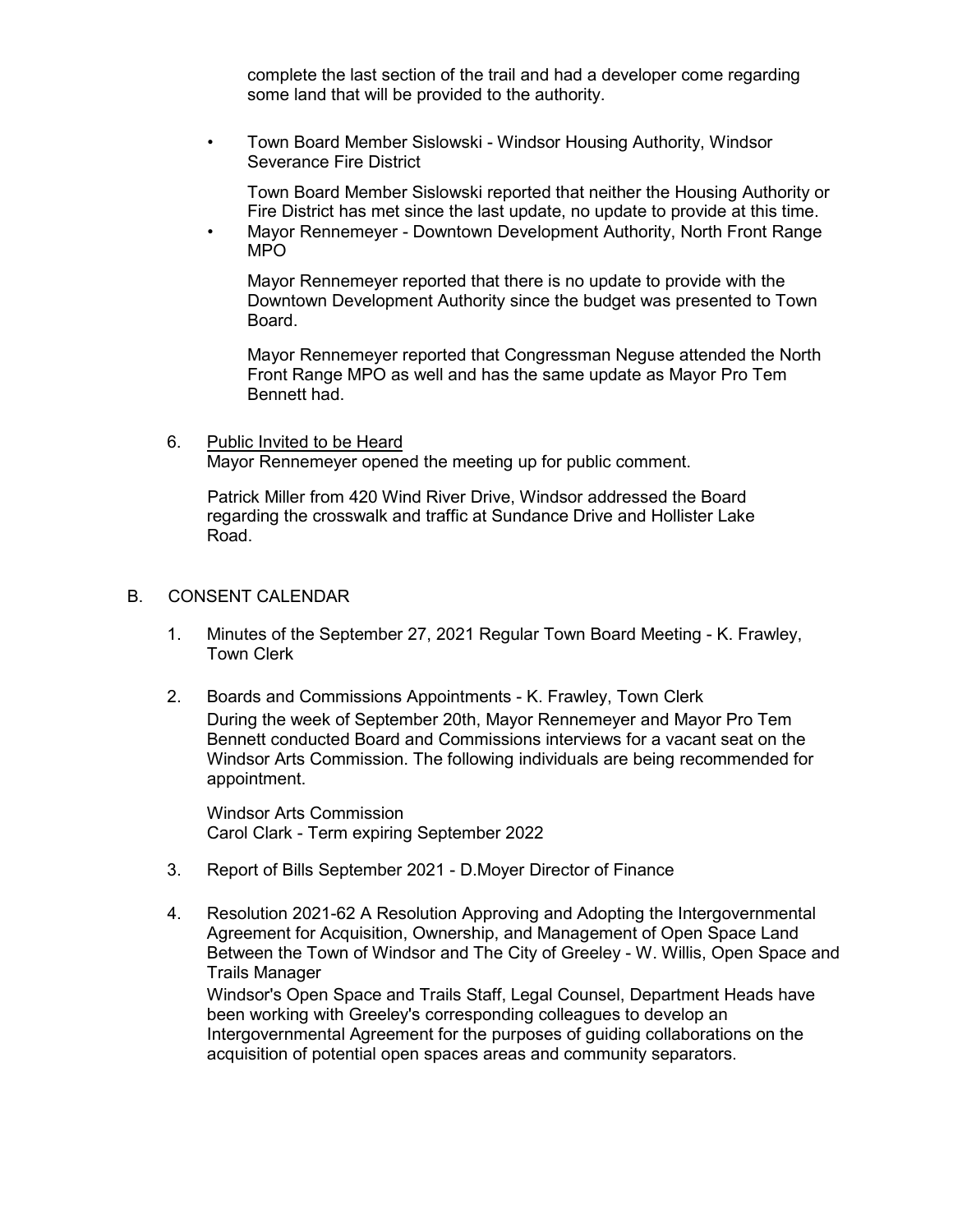complete the last section of the trail and had a developer come regarding some land that will be provided to the authority.

• Town Board Member Sislowski - Windsor Housing Authority, Windsor Severance Fire District

Town Board Member Sislowski reported that neither the Housing Authority or Fire District has met since the last update, no update to provide at this time.

• Mayor Rennemeyer - Downtown Development Authority, North Front Range MPO

Mayor Rennemeyer reported that there is no update to provide with the Downtown Development Authority since the budget was presented to Town Board.

Mayor Rennemeyer reported that Congressman Neguse attended the North Front Range MPO as well and has the same update as Mayor Pro Tem Bennett had.

6. Public Invited to be Heard Mayor Rennemeyer opened the meeting up for public comment.

Patrick Miller from 420 Wind River Drive, Windsor addressed the Board regarding the crosswalk and traffic at Sundance Drive and Hollister Lake Road.

#### B. CONSENT CALENDAR

- 1. Minutes of the September 27, 2021 Regular Town Board Meeting K. Frawley, Town Clerk
- 2. Boards and Commissions Appointments K. Frawley, Town Clerk During the week of September 20th, Mayor Rennemeyer and Mayor Pro Tem Bennett conducted Board and Commissions interviews for a vacant seat on the Windsor Arts Commission. The following individuals are being recommended for appointment.

Windsor Arts Commission Carol Clark - Term expiring September 2022

- 3. Report of Bills September 2021 D.Moyer Director of Finance
- 4. Resolution 2021-62 A Resolution Approving and Adopting the Intergovernmental Agreement for Acquisition, Ownership, and Management of Open Space Land Between the Town of Windsor and The City of Greeley - W. Willis, Open Space and Trails Manager Windsor's Open Space and Trails Staff, Legal Counsel, Department Heads have

been working with Greeley's corresponding colleagues to develop an Intergovernmental Agreement for the purposes of guiding collaborations on the acquisition of potential open spaces areas and community separators.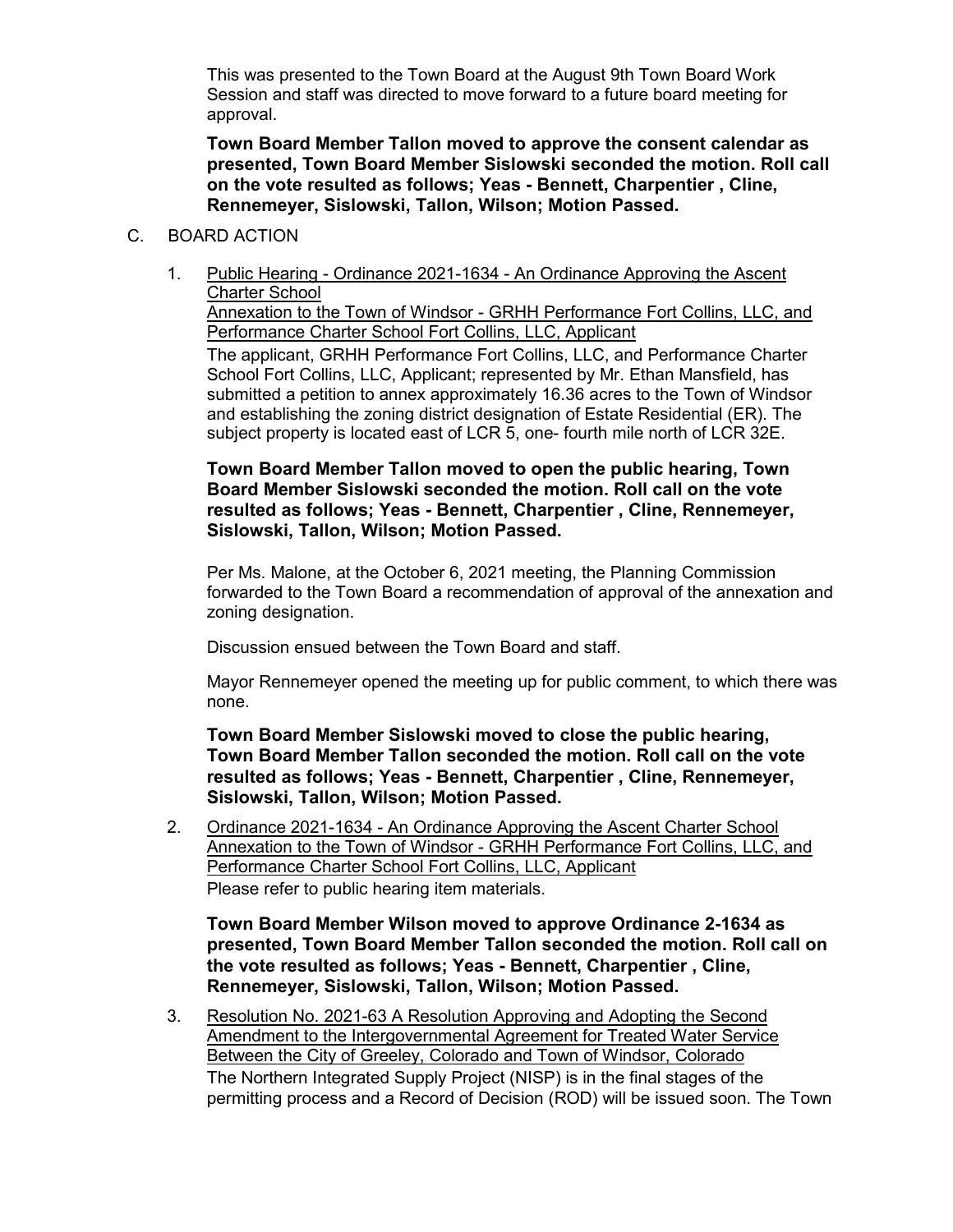This was presented to the Town Board at the August 9th Town Board Work Session and staff was directed to move forward to a future board meeting for approval.

**Town Board Member Tallon moved to approve the consent calendar as presented, Town Board Member Sislowski seconded the motion. Roll call on the vote resulted as follows; Yeas - Bennett, Charpentier , Cline, Rennemeyer, Sislowski, Tallon, Wilson; Motion Passed.**

- C. BOARD ACTION
	- 1. Public Hearing Ordinance 2021-1634 An Ordinance Approving the Ascent Charter School Annexation to the Town of Windsor - GRHH Performance Fort Collins, LLC, and Performance Charter School Fort Collins, LLC, Applicant The applicant, GRHH Performance Fort Collins, LLC, and Performance Charter School Fort Collins, LLC, Applicant; represented by Mr. Ethan Mansfield, has submitted a petition to annex approximately 16.36 acres to the Town of Windsor and establishing the zoning district designation of Estate Residential (ER). The subject property is located east of LCR 5, one- fourth mile north of LCR 32E.

**Town Board Member Tallon moved to open the public hearing, Town Board Member Sislowski seconded the motion. Roll call on the vote resulted as follows; Yeas - Bennett, Charpentier , Cline, Rennemeyer, Sislowski, Tallon, Wilson; Motion Passed.**

Per Ms. Malone, at the October 6, 2021 meeting, the Planning Commission forwarded to the Town Board a recommendation of approval of the annexation and zoning designation.

Discussion ensued between the Town Board and staff.

Mayor Rennemeyer opened the meeting up for public comment, to which there was none.

**Town Board Member Sislowski moved to close the public hearing, Town Board Member Tallon seconded the motion. Roll call on the vote resulted as follows; Yeas - Bennett, Charpentier , Cline, Rennemeyer, Sislowski, Tallon, Wilson; Motion Passed.**

2. Ordinance 2021-1634 - An Ordinance Approving the Ascent Charter School Annexation to the Town of Windsor - GRHH Performance Fort Collins, LLC, and Performance Charter School Fort Collins, LLC, Applicant Please refer to public hearing item materials.

**Town Board Member Wilson moved to approve Ordinance 2-1634 as presented, Town Board Member Tallon seconded the motion. Roll call on the vote resulted as follows; Yeas - Bennett, Charpentier , Cline, Rennemeyer, Sislowski, Tallon, Wilson; Motion Passed.**

3. Resolution No. 2021-63 A Resolution Approving and Adopting the Second Amendment to the Intergovernmental Agreement for Treated Water Service Between the City of Greeley, Colorado and Town of Windsor, Colorado The Northern Integrated Supply Project (NISP) is in the final stages of the permitting process and a Record of Decision (ROD) will be issued soon. The Town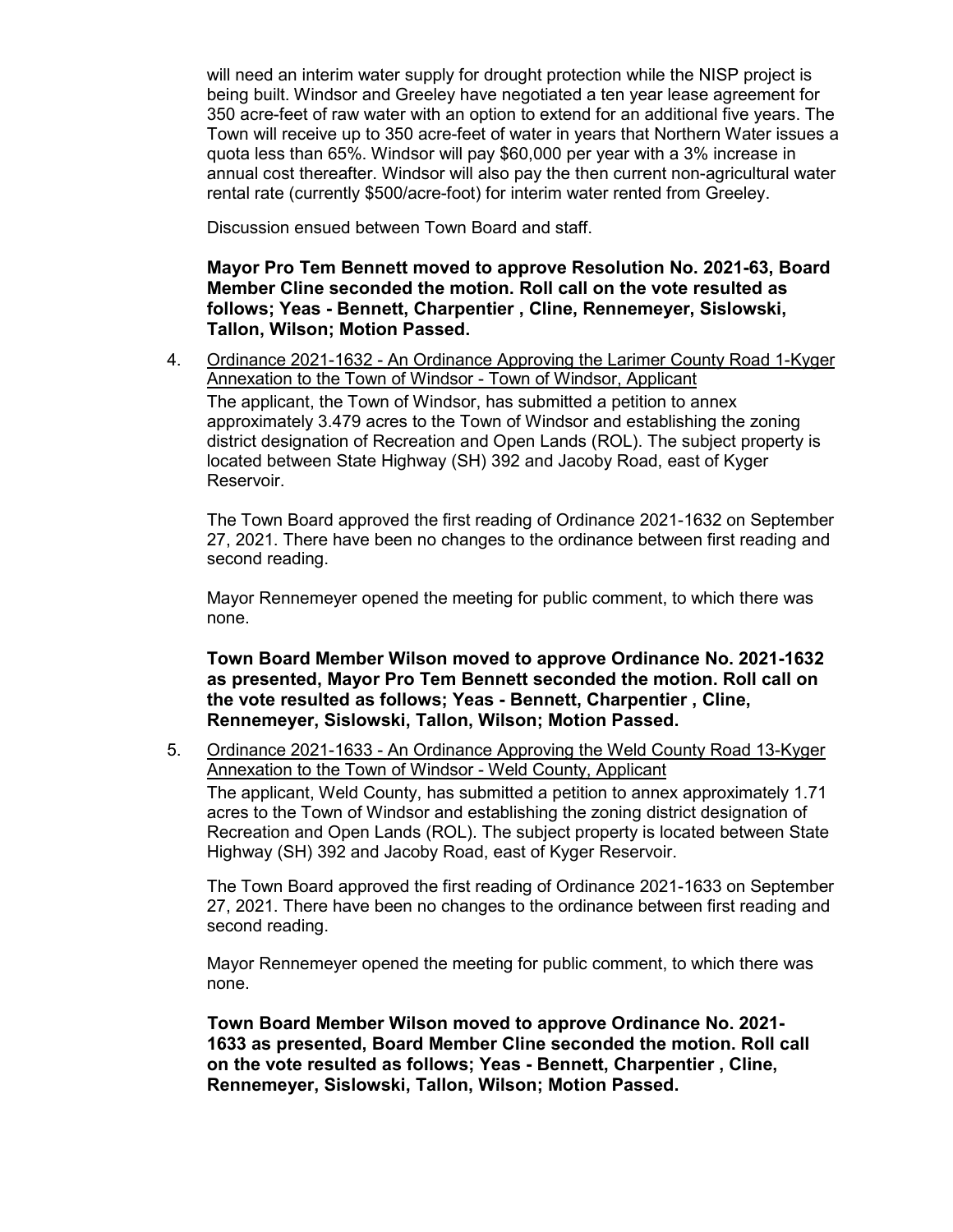will need an interim water supply for drought protection while the NISP project is being built. Windsor and Greeley have negotiated a ten year lease agreement for 350 acre-feet of raw water with an option to extend for an additional five years. The Town will receive up to 350 acre-feet of water in years that Northern Water issues a quota less than 65%. Windsor will pay \$60,000 per year with a 3% increase in annual cost thereafter. Windsor will also pay the then current non-agricultural water rental rate (currently \$500/acre-foot) for interim water rented from Greeley.

Discussion ensued between Town Board and staff.

**Mayor Pro Tem Bennett moved to approve Resolution No. 2021-63, Board Member Cline seconded the motion. Roll call on the vote resulted as follows; Yeas - Bennett, Charpentier , Cline, Rennemeyer, Sislowski, Tallon, Wilson; Motion Passed.**

4. Ordinance 2021-1632 - An Ordinance Approving the Larimer County Road 1-Kyger Annexation to the Town of Windsor - Town of Windsor, Applicant The applicant, the Town of Windsor, has submitted a petition to annex approximately 3.479 acres to the Town of Windsor and establishing the zoning district designation of Recreation and Open Lands (ROL). The subject property is located between State Highway (SH) 392 and Jacoby Road, east of Kyger Reservoir.

The Town Board approved the first reading of Ordinance 2021-1632 on September 27, 2021. There have been no changes to the ordinance between first reading and second reading.

Mayor Rennemeyer opened the meeting for public comment, to which there was none.

**Town Board Member Wilson moved to approve Ordinance No. 2021-1632 as presented, Mayor Pro Tem Bennett seconded the motion. Roll call on the vote resulted as follows; Yeas - Bennett, Charpentier , Cline, Rennemeyer, Sislowski, Tallon, Wilson; Motion Passed.**

5. Ordinance 2021-1633 - An Ordinance Approving the Weld County Road 13-Kyger Annexation to the Town of Windsor - Weld County, Applicant The applicant, Weld County, has submitted a petition to annex approximately 1.71 acres to the Town of Windsor and establishing the zoning district designation of Recreation and Open Lands (ROL). The subject property is located between State Highway (SH) 392 and Jacoby Road, east of Kyger Reservoir.

The Town Board approved the first reading of Ordinance 2021-1633 on September 27, 2021. There have been no changes to the ordinance between first reading and second reading.

Mayor Rennemeyer opened the meeting for public comment, to which there was none.

**Town Board Member Wilson moved to approve Ordinance No. 2021- 1633 as presented, Board Member Cline seconded the motion. Roll call on the vote resulted as follows; Yeas - Bennett, Charpentier , Cline, Rennemeyer, Sislowski, Tallon, Wilson; Motion Passed.**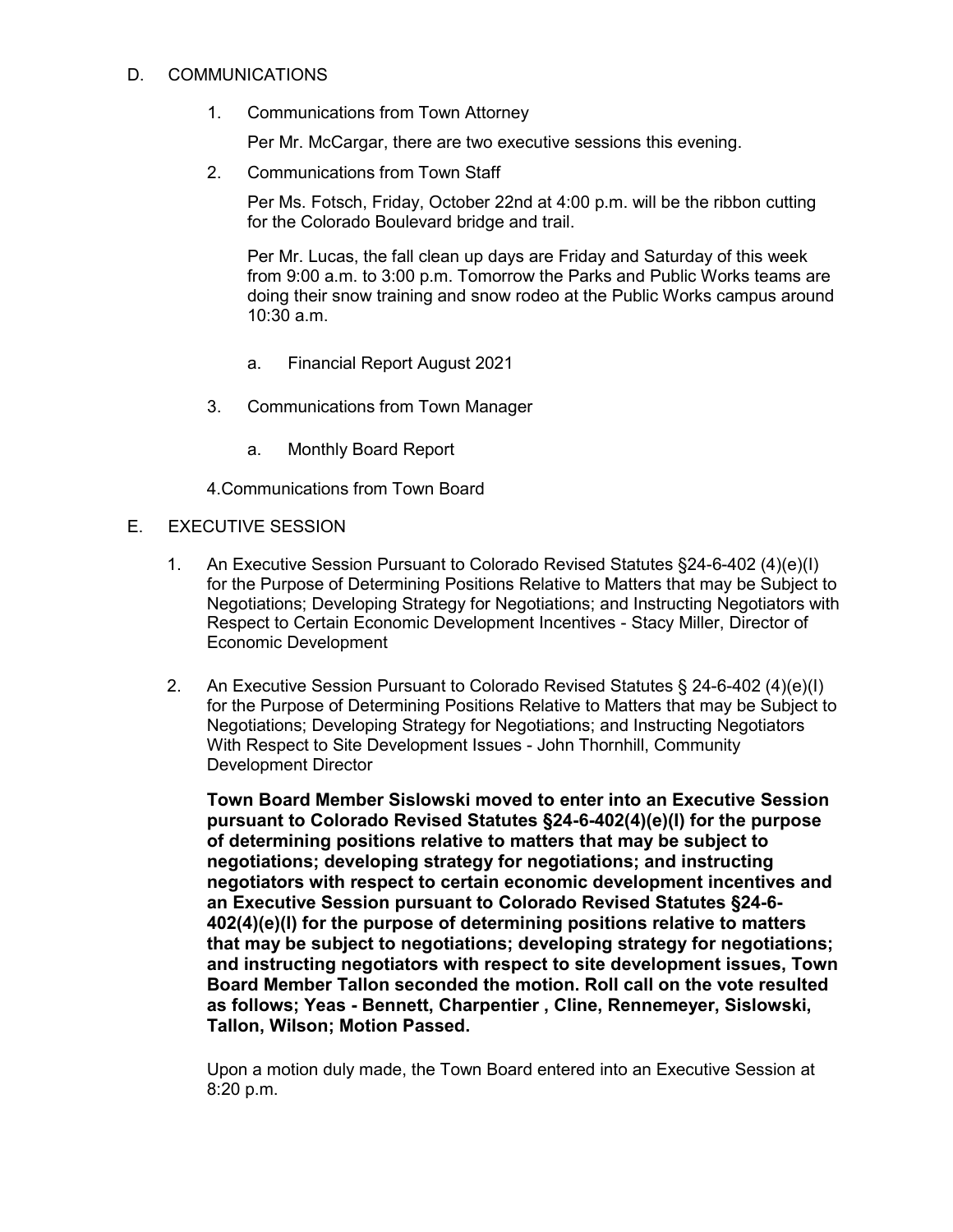## D. COMMUNICATIONS

1. Communications from Town Attorney

Per Mr. McCargar, there are two executive sessions this evening.

2. Communications from Town Staff

Per Ms. Fotsch, Friday, October 22nd at 4:00 p.m. will be the ribbon cutting for the Colorado Boulevard bridge and trail.

Per Mr. Lucas, the fall clean up days are Friday and Saturday of this week from 9:00 a.m. to 3:00 p.m. Tomorrow the Parks and Public Works teams are doing their snow training and snow rodeo at the Public Works campus around 10:30 a.m.

- a. Financial Report August 2021
- 3. Communications from Town Manager
	- a. Monthly Board Report

4.Communications from Town Board

## E. EXECUTIVE SESSION

- 1. An Executive Session Pursuant to Colorado Revised Statutes §24-6-402 (4)(e)(I) for the Purpose of Determining Positions Relative to Matters that may be Subject to Negotiations; Developing Strategy for Negotiations; and Instructing Negotiators with Respect to Certain Economic Development Incentives - Stacy Miller, Director of Economic Development
- 2. An Executive Session Pursuant to Colorado Revised Statutes § 24-6-402 (4)(e)(I) for the Purpose of Determining Positions Relative to Matters that may be Subject to Negotiations; Developing Strategy for Negotiations; and Instructing Negotiators With Respect to Site Development Issues - John Thornhill, Community Development Director

**Town Board Member Sislowski moved to enter into an Executive Session pursuant to Colorado Revised Statutes §24-6-402(4)(e)(I) for the purpose of determining positions relative to matters that may be subject to negotiations; developing strategy for negotiations; and instructing negotiators with respect to certain economic development incentives and an Executive Session pursuant to Colorado Revised Statutes §24-6- 402(4)(e)(I) for the purpose of determining positions relative to matters that may be subject to negotiations; developing strategy for negotiations; and instructing negotiators with respect to site development issues, Town Board Member Tallon seconded the motion. Roll call on the vote resulted as follows; Yeas - Bennett, Charpentier , Cline, Rennemeyer, Sislowski, Tallon, Wilson; Motion Passed.**

Upon a motion duly made, the Town Board entered into an Executive Session at 8:20 p.m.